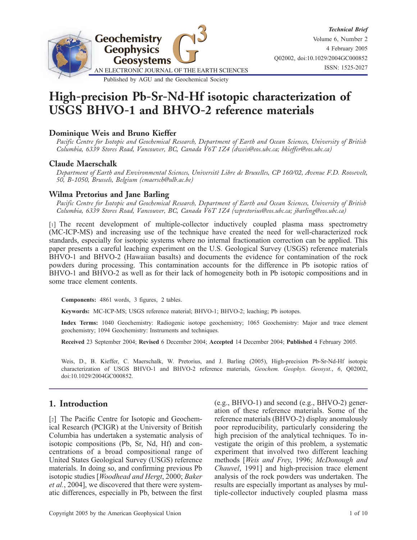

# High-precision Pb-Sr-Nd-Hf isotopic characterization of USGS BHVO-1 and BHVO-2 reference materials

# Dominique Weis and Bruno Kieffer

Pacific Centre for Isotopic and Geochemical Research, Department of Earth and Ocean Sciences, University of British Columbia, 6339 Stores Road, Vancouver, BC, Canada V6T 1Z4 (dweis@eos.ubc.ca; bkieffer@eos.ubc.ca)

### Claude Maerschalk

Department of Earth and Environmental Sciences, Université Libre de Bruxelles, CP 160/02, Avenue F.D. Roosevelt, 50, B-1050, Brussels, Belgium (cmaersch@ulb.ac.be)

### Wilma Pretorius and Jane Barling

Pacific Centre for Isotopic and Geochemical Research, Department of Earth and Ocean Sciences, University of British Columbia, 6339 Stores Road, Vancouver, BC, Canada V6T 1Z4 (wpretorius@eos.ubc.ca; jbarling@eos.ubc.ca)

[1] The recent development of multiple-collector inductively coupled plasma mass spectrometry (MC-ICP-MS) and increasing use of the technique have created the need for well-characterized rock standards, especially for isotopic systems where no internal fractionation correction can be applied. This paper presents a careful leaching experiment on the U.S. Geological Survey (USGS) reference materials BHVO-1 and BHVO-2 (Hawaiian basalts) and documents the evidence for contamination of the rock powders during processing. This contamination accounts for the difference in Pb isotopic ratios of BHVO-1 and BHVO-2 as well as for their lack of homogeneity both in Pb isotopic compositions and in some trace element contents.

Components: 4861 words, 3 figures, 2 tables.

Keywords: MC-ICP-MS; USGS reference material; BHVO-1; BHVO-2; leaching; Pb isotopes.

Index Terms: 1040 Geochemistry: Radiogenic isotope geochemistry; 1065 Geochemistry: Major and trace element geochemistry; 1094 Geochemistry: Instruments and techniques.

Received 23 September 2004; Revised 6 December 2004; Accepted 14 December 2004; Published 4 February 2005.

Weis, D., B. Kieffer, C. Maerschalk, W. Pretorius, and J. Barling (2005), High-precision Pb-Sr-Nd-Hf isotopic characterization of USGS BHVO-1 and BHVO-2 reference materials, Geochem. Geophys. Geosyst., 6, Q02002, doi:10.1029/2004GC000852.

# 1. Introduction

[2] The Pacific Centre for Isotopic and Geochemical Research (PCIGR) at the University of British Columbia has undertaken a systematic analysis of isotopic compositions (Pb, Sr, Nd, Hf) and concentrations of a broad compositional range of United States Geological Survey (USGS) reference materials. In doing so, and confirming previous Pb isotopic studies [Woodhead and Hergt, 2000; Baker et al., 2004], we discovered that there were systematic differences, especially in Pb, between the first (e.g., BHVO-1) and second (e.g., BHVO-2) generation of these reference materials. Some of the reference materials (BHVO-2) display anomalously poor reproducibility, particularly considering the high precision of the analytical techniques. To investigate the origin of this problem, a systematic experiment that involved two different leaching methods [Weis and Frey, 1996; McDonough and Chauvel, 1991] and high-precision trace element analysis of the rock powders was undertaken. The results are especially important as analyses by multiple-collector inductively coupled plasma mass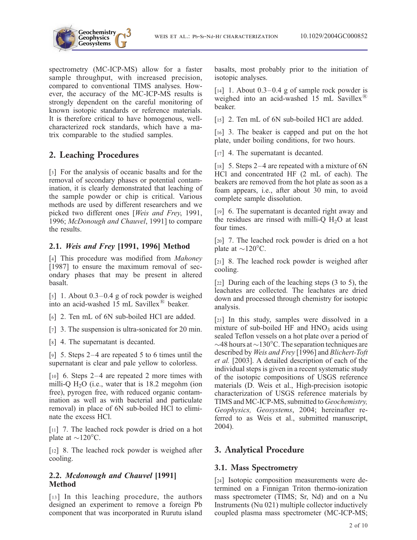

spectrometry (MC-ICP-MS) allow for a faster sample throughput, with increased precision, compared to conventional TIMS analyses. However, the accuracy of the MC-ICP-MS results is strongly dependent on the careful monitoring of known isotopic standards or reference materials. It is therefore critical to have homogenous, wellcharacterized rock standards, which have a matrix comparable to the studied samples.

# 2. Leaching Procedures

[3] For the analysis of oceanic basalts and for the removal of secondary phases or potential contamination, it is clearly demonstrated that leaching of the sample powder or chip is critical. Various methods are used by different researchers and we picked two different ones [Weis and Frey, 1991, 1996; McDonough and Chauvel, 1991] to compare the results.

### 2.1. Weis and Frey [1991, 1996] Method

[4] This procedure was modified from Mahoney [1987] to ensure the maximum removal of secondary phases that may be present in altered basalt.

[5] 1. About  $0.3-0.4$  g of rock powder is weighed into an acid-washed  $15$  mL Savillex<sup>®</sup> beaker.

[6] 2. Ten mL of 6N sub-boiled HCl are added.

[7] 3. The suspension is ultra-sonicated for 20 min.

[8] 4. The supernatant is decanted.

[9] 5. Steps 2–4 are repeated 5 to 6 times until the supernatant is clear and pale yellow to colorless.

[10] 6. Steps 2–4 are repeated 2 more times with milli-Q  $H<sub>2</sub>O$  (i.e., water that is 18.2 megohm (ion free), pyrogen free, with reduced organic contamination as well as with bacterial and particulate removal) in place of 6N sub-boiled HCl to eliminate the excess HCl.

[11] 7. The leached rock powder is dried on a hot plate at  $\sim$ 120 $\degree$ C.

[12] 8. The leached rock powder is weighed after cooling.

### 2.2. Mcdonough and Chauvel [1991] Method

[13] In this leaching procedure, the authors designed an experiment to remove a foreign Pb component that was incorporated in Rurutu island basalts, most probably prior to the initiation of isotopic analyses.

[ $14$ ] 1. About 0.3–0.4 g of sample rock powder is weighed into an acid-washed 15 mL Savillex<sup>(B)</sup> beaker.

[15] 2. Ten mL of 6N sub-boiled HCl are added.

[16] 3. The beaker is capped and put on the hot plate, under boiling conditions, for two hours.

[17] 4. The supernatant is decanted.

[ $18$ ] 5. Steps 2–4 are repeated with a mixture of 6N HCl and concentrated HF (2 mL of each). The beakers are removed from the hot plate as soon as a foam appears, i.e., after about 30 min, to avoid complete sample dissolution.

[19] 6. The supernatant is decanted right away and the residues are rinsed with milli-Q  $H_2O$  at least four times.

[20] 7. The leached rock powder is dried on a hot plate at  $\sim$ 120 $^{\circ}$ C.

[21] 8. The leached rock powder is weighed after cooling.

[22] During each of the leaching steps (3 to 5), the leachates are collected. The leachates are dried down and processed through chemistry for isotopic analysis.

[23] In this study, samples were dissolved in a mixture of sub-boiled HF and  $HNO<sub>3</sub>$  acids using sealed Teflon vessels on a hot plate over a period of  $\sim$ 48 hours at  $\sim$ 130°C. The separation techniques are described by Weis and Frey [1996] and Blichert-Toft et al. [2003]. A detailed description of each of the individual steps is given in a recent systematic study of the isotopic compositions of USGS reference materials (D. Weis et al., High-precision isotopic characterization of USGS reference materials by TIMS and MC-ICP-MS, submitted to Geochemistry, Geophysics, Geosystems, 2004; hereinafter referred to as Weis et al., submitted manuscript, 2004).

# 3. Analytical Procedure

# 3.1. Mass Spectrometry

[24] Isotopic composition measurements were determined on a Finnigan Triton thermo-ionization mass spectrometer (TIMS; Sr, Nd) and on a Nu Instruments (Nu 021) multiple collector inductively coupled plasma mass spectrometer (MC-ICP-MS;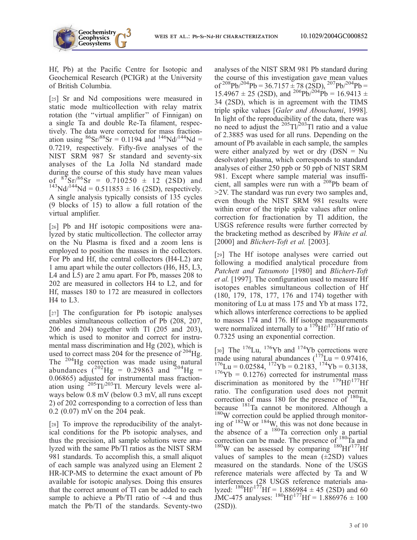Hf, Pb) at the Pacific Centre for Isotopic and Geochemical Research (PCIGR) at the University of British Columbia.

**Geochemistry** Geophysics<br>Geosystems

[25] Sr and Nd compositions were measured in static mode multicollection with relay matrix rotation (the ''virtual amplifier'' of Finnigan) on a single Ta and double Re-Ta filament, respectively. The data were corrected for mass fractionation using  ${}^{86}Sr/{}^{88}Sr = 0.1194$  and  ${}^{146}Nd/{}^{144}Nd =$ 0.7219, respectively. Fifty-five analyses of the NIST SRM 987 Sr standard and seventy-six analyses of the La Jolla Nd standard made during the course of this study have mean values<br>of  ${}^{87}Sr/{}^{86}Sr = 0.710250 \pm 12$  (2SD) and  $143$ Nd/<sup>144</sup>Nd = 0.511853 ± 16 (2SD), respectively. A single analysis typically consists of 135 cycles (9 blocks of 15) to allow a full rotation of the virtual amplifier.

[26] Pb and Hf isotopic compositions were analyzed by static multicollection. The collector array on the Nu Plasma is fixed and a zoom lens is employed to position the masses in the collectors. For Pb and Hf, the central collectors (H4-L2) are 1 amu apart while the outer collectors (H6, H5, L3, L4 and L5) are 2 amu apart. For Pb, masses 208 to 202 are measured in collectors H4 to L2, and for Hf, masses 180 to 172 are measured in collectors H4 to L3.

[27] The configuration for Pb isotopic analyses enables simultaneous collection of Pb (208, 207, 206 and 204) together with Tl (205 and 203), which is used to monitor and correct for instrumental mass discrimination and Hg (202), which is used to correct mass 204 for the presence of  $204$  Hg. The <sup>204</sup>Hg correction was made using natural abundances  $(^{202}Hg = 0.29863$  and  $^{204}Hg =$ 0.06865) adjusted for instrumental mass fractionation using  $205$ Tl/ $203$ Tl. Mercury levels were always below 0.8 mV (below 0.3 mV, all runs except 2) of 202 corresponding to a correction of less than 0.2 (0.07) mV on the 204 peak.

[28] To improve the reproducibility of the analytical conditions for the Pb isotopic analyses, and thus the precision, all sample solutions were analyzed with the same Pb/Tl ratios as the NIST SRM 981 standards. To accomplish this, a small aliquot of each sample was analyzed using an Element 2 HR-ICP-MS to determine the exact amount of Pb available for isotopic analyses. Doing this ensures that the correct amount of Tl can be added to each sample to achieve a Pb/Tl ratio of  $\sim$ 4 and thus match the Pb/Tl of the standards. Seventy-two

analyses of the NIST SRM 981 Pb standard during the course of this investigation gave mean values of  $^{208}Pb^{204}Pb = 36.7157 \pm 78 (2SD), \frac{207}{Pb^{204}Pb} =$  $15.4967 \pm 25$  (2SD), and <sup>206</sup>Pb<sup>/204</sup>Pb = 16.9413 ± 34 (2SD), which is in agreement with the TIMS triple spike values [Galer and Abouchami, 1998]. In light of the reproducibility of the data, there was no need to adjust the  $^{205}$ Tl/ $^{203}$ Tl ratio and a value of 2.3885 was used for all runs. Depending on the amount of Pb available in each sample, the samples were either analyzed by wet or dry  $(DSN = Nu$ desolvator) plasma, which corresponds to standard analyses of either 250 ppb or 50 ppb of NIST SRM 981. Except where sample material was insufficient, all samples were run with a  $^{208}Pb$  beam of >2V. The standard was run every two samples and, even though the NIST SRM 981 results were within error of the triple spike values after online correction for fractionation by Tl addition, the USGS reference results were further corrected by the bracketing method as described by White et al. [2000] and *Blichert-Toft et al.* [2003].

[29] The Hf isotope analyses were carried out following a modified analytical procedure from Patchett and Tatsumoto [1980] and Blichert-Toft et al. [1997]. The configuration used to measure Hf isotopes enables simultaneous collection of Hf (180, 179, 178, 177, 176 and 174) together with monitoring of Lu at mass 175 and Yb at mass 172, which allows interference corrections to be applied to masses 174 and 176. Hf isotope measurements were normalized internally to a  $17^5$ Hf $/177$ Hf ratio of 0.7325 using an exponential correction.

[30] The  $^{176}$ Lu,  $^{176}$ Yb and  $^{174}$ Yb corrections were made using natural abundances  $(^{175}$ Lu = 0.97416,  $176$ Lu = 0.02584,  $172$ Yb = 0.2183,  $174$ Yb = 0.3138,  $176\text{Yb} = 0.1276$ ) corrected for instrumental mass discrimination as monitored by the  $^{179}$ Hf $/^{177}$ Hf ratio. The configuration used does not permit correction of mass 180 for the presence of  $180$ Ta, because  $181$ Ta cannot be monitored. Although a  $180W$  correction could be applied through monitoring of  $182$ W or  $184$ W, this was not done because in the absence of a  $180$ Ta correction only a partial correction can be made. The presence of <sup>180</sup>Ta and  $180W$  can be assessed by comparing  $180Hf^{177}Hf$ values of samples to the mean  $(\pm 2SD)$  values measured on the standards. None of the USGS reference materials were affected by Ta and W interferences (28 USGS reference materials analyzed:  $180$ Hf/ $177$ Hf = 1.886984 ± 45 (2SD) and 60  $~\text{JMC-475}$  analyses:  $^{180} \text{Hf}^{177} \text{Hf} = 1.886976 \pm 100$ (2SD)).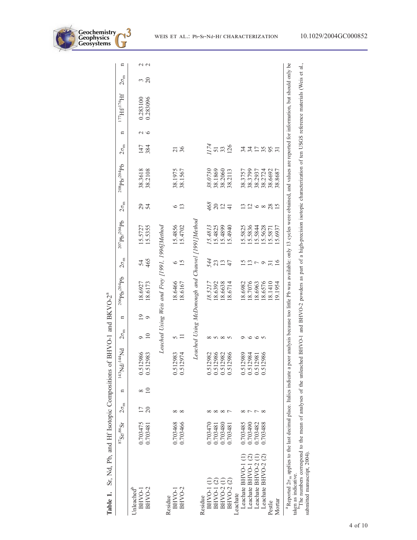

|                                                                                                                                                                                                                                                                                                                                                | $^{87}\mathrm{Sr}^{/86}\mathrm{Sr}$ | $2\sigma_{\rm m}$ | n        | $bN^{43}Nd^{144}Nd$              | $2\sigma_{\rm m}$      | n                         | $^{206}Pb/^{204}Pb$                              | $2\sigma_{\rm m}$ | $^{207}Pb/^{204}Pb$ | $2\sigma_{\rm m}$           | $208 \text{pb} / 204 \text{pb}$                                                                                                              | $2\sigma_{\rm m}$    | n             | $^{177}\mathrm{H} \beta^{176} \mathrm{H} \mathrm{f}$ | $2\sigma_{\rm m}$   | n             |
|------------------------------------------------------------------------------------------------------------------------------------------------------------------------------------------------------------------------------------------------------------------------------------------------------------------------------------------------|-------------------------------------|-------------------|----------|----------------------------------|------------------------|---------------------------|--------------------------------------------------|-------------------|---------------------|-----------------------------|----------------------------------------------------------------------------------------------------------------------------------------------|----------------------|---------------|------------------------------------------------------|---------------------|---------------|
| Unleached <sup>b</sup><br>BHVO-2<br>BHVO-1                                                                                                                                                                                                                                                                                                     | 0.703475<br>0.703481                | 20                | $\equiv$ | 0.512986<br>0.512983             | $\supseteq$<br>$\circ$ | $\overline{0}$<br>$\circ$ | 18.6173<br>18.6927                               | 465<br>54         | 15.5727<br>15.5355  | 24                          | 38.3618<br>38.2108                                                                                                                           | 147<br>384           | $\sim$ $\sim$ | 0.283096<br>0.283100                                 | $\overline{c}$<br>ξ | $\sim$ $\sim$ |
|                                                                                                                                                                                                                                                                                                                                                |                                     |                   |          |                                  |                        |                           | Leached Using Weis and Frey [1991, 1996]Method   |                   |                     |                             |                                                                                                                                              |                      |               |                                                      |                     |               |
| BHVO-2<br>BHVO-1<br>Residue                                                                                                                                                                                                                                                                                                                    | 0.703468<br>0.703466                | ∞<br>$\infty$     |          | 12974<br>0.512983<br>0.5         | 5                      |                           | 18.6466<br>18.6167                               | 15<br>७           | 15.4856<br>15.4702  | 13<br>७                     | 38.1975<br>38.1567                                                                                                                           | 36<br>$\overline{z}$ |               |                                                      |                     |               |
|                                                                                                                                                                                                                                                                                                                                                |                                     |                   |          |                                  |                        |                           | Leached Using McDonough and Chauvel [1991]Method |                   |                     |                             |                                                                                                                                              |                      |               |                                                      |                     |               |
| Residue                                                                                                                                                                                                                                                                                                                                        |                                     |                   |          |                                  |                        |                           |                                                  |                   |                     |                             |                                                                                                                                              |                      |               |                                                      |                     |               |
| <b>BHVO-1(1)</b>                                                                                                                                                                                                                                                                                                                               | 0.703470                            |                   |          |                                  | ∞                      |                           | 18.5217                                          | 544               | 15.4813             | 468                         | 38.0730                                                                                                                                      | 1/74                 |               |                                                      |                     |               |
| BHVO-1(2)                                                                                                                                                                                                                                                                                                                                      | 0.703481                            |                   |          |                                  | $\sim$                 |                           | 18.6392                                          | 23                | 15.4825             | $\overline{c}$              | 38.1869                                                                                                                                      | 51                   |               |                                                      |                     |               |
| BHVO-2                                                                                                                                                                                                                                                                                                                                         | 0.703480                            | $\infty$          |          | 0.512982<br>0.512986<br>0.512982 |                        |                           | 18.6638                                          | 13                | 15.4899             | $\overline{2}$              | 38.2060                                                                                                                                      |                      |               |                                                      |                     |               |
| BHVO-2 (2)                                                                                                                                                                                                                                                                                                                                     | 0.703481                            |                   |          | 12986<br>0.5                     | $\sim$                 |                           | 18.6714                                          | 47                | 15.4940             | $\frac{4}{ }$               | 38.2113                                                                                                                                      | 126                  |               |                                                      |                     |               |
| Leachate                                                                                                                                                                                                                                                                                                                                       |                                     |                   |          |                                  |                        |                           |                                                  |                   |                     |                             |                                                                                                                                              |                      |               |                                                      |                     |               |
| Leachate BHVO-1 (1)                                                                                                                                                                                                                                                                                                                            | 0.703485                            |                   |          | 0.512989                         | ⌒                      |                           | 18.6982                                          |                   | 15.5825             |                             | 38.3757                                                                                                                                      | 34                   |               |                                                      |                     |               |
| Leachate BHVO-1 (2)                                                                                                                                                                                                                                                                                                                            | 0.703490                            |                   |          | 12984<br>0.5                     | $\circ$                |                           | 18.7076                                          | $\mathbf{r}$      | 15.5836             | $\frac{2}{1}$ $\frac{2}{1}$ | 38.3799                                                                                                                                      | 34                   |               |                                                      |                     |               |
| Leachate BHVO-2                                                                                                                                                                                                                                                                                                                                | 0.703482                            |                   |          | 12981<br>0.5                     | $\circ$                |                           | 18.6963                                          | $\overline{ }$    | 15.5844             | $\infty$                    | 38.2937                                                                                                                                      | $\overline{17}$      |               |                                                      |                     |               |
| Leachate BHVO-2 (2)                                                                                                                                                                                                                                                                                                                            | 0.703488                            | ∝                 |          | 12986<br>0.5                     |                        |                           | 18.6576                                          | $\circ$           | 15.5628             |                             | 38.2724                                                                                                                                      | 35                   |               |                                                      |                     |               |
| Pestle                                                                                                                                                                                                                                                                                                                                         |                                     |                   |          |                                  |                        |                           | 18.1410                                          | $\overline{31}$   | 15.5871             | 28                          | 38.6692                                                                                                                                      | 95                   |               |                                                      |                     |               |
| Mortar                                                                                                                                                                                                                                                                                                                                         |                                     |                   |          |                                  |                        |                           | 1954                                             | $\overline{16}$   | 5.6937              | $\overline{5}$              | 38.8687                                                                                                                                      |                      |               |                                                      |                     |               |
| $\frac{10}{10}$ mumbers acrossed to the mom of engluses of the unlesslight and RHVO 1 and 2017 and are as a series in the movies in the contention of the HOCS reference motion of all $\frac{10}{10}$ (Mais at all<br>${}^{3}$ Reported 2 $\sigma$ <sub>m</sub> applies to the last decimal place. Italics indicate a<br>taken as indicative. |                                     |                   |          |                                  |                        |                           |                                                  |                   |                     |                             | poor analysis because too little Pb was available: only 13 cycles were obtained, and values are reported for information, but should only be |                      |               |                                                      |                     |               |
|                                                                                                                                                                                                                                                                                                                                                |                                     |                   |          |                                  |                        |                           |                                                  |                   |                     |                             |                                                                                                                                              |                      |               |                                                      |                     |               |

Sr, Nd, Pb, and Hf Isotopic Compositions of BHVO-1 and BKVO-2<sup>ª</sup> Table 1. Sr, Nd, Pb, and Hf Isotopic Compositions of BHVO-1 and BKVO-2a Table 1.

್ಷ. taken as indicative.<br><sup>b</sup>The numbers correspond to the mean of analyses of the unleached BHVO-1 and BHVO-2 powders as part of a high-precision isotopic characterization of ten USGS reference materials (Weis et al., ă Ξ prec mân a 5 Jäll as 2 Ņ ä ă Ċ ā š 5 ≍ Чä g The numbers correspond<br>submitted manuscript, 2004). submitted manuscript, 2004). take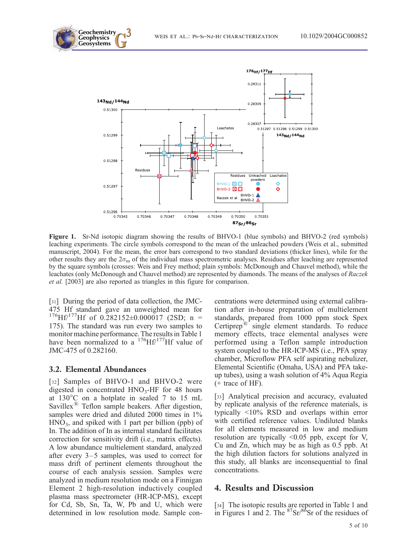



Figure 1. Sr-Nd isotopic diagram showing the results of BHVO-1 (blue symbols) and BHVO-2 (red symbols) leaching experiments. The circle symbols correspond to the mean of the unleached powders (Weis et al., submitted manuscript, 2004). For the mean, the error bars correspond to two standard deviations (thicker lines), while for the other results they are the  $2\sigma_m$  of the individual mass spectrometric analyses. Residues after leaching are represented by the square symbols (crosses: Weis and Frey method; plain symbols: McDonough and Chauvel method), while the leachates (only McDonough and Chauvel method) are represented by diamonds. The means of the analyses of Raczek et al. [2003] are also reported as triangles in this figure for comparison.

[31] During the period of data collection, the JMC-475 Hf standard gave an unweighted mean for  $176$ Hf/<sup>177</sup>Hf of 0.282152±0.000017 (2SD; n = 175). The standard was run every two samples to monitor machine performance. The results in Table 1 have been normalized to a  $^{176}$ Hf/<sup>177</sup>Hf value of JMC-475 of 0.282160.

#### 3.2. Elemental Abundances

[32] Samples of BHVO-1 and BHVO-2 were digested in concentrated  $HNO<sub>3</sub>-HF$  for 48 hours at  $130^{\circ}$ C on a hotplate in sealed 7 to 15 mL Savillex $\mathbb{B}$  Teflon sample beakers. After digestion, samples were dried and diluted 2000 times in 1%  $HNO<sub>3</sub>$ , and spiked with 1 part per billion (ppb) of In. The addition of In as internal standard facilitates correction for sensitivity drift (i.e., matrix effects). A low abundance multielement standard, analyzed after every 3–5 samples, was used to correct for mass drift of pertinent elements throughout the course of each analysis session. Samples were analyzed in medium resolution mode on a Finnigan Element 2 high-resolution inductively coupled plasma mass spectrometer (HR-ICP-MS), except for Cd, Sb, Sn, Ta, W, Pb and U, which were determined in low resolution mode. Sample concentrations were determined using external calibration after in-house preparation of multielement standards, prepared from 1000 ppm stock Spex Certiprep<sup>®</sup> single element standards. To reduce memory effects, trace elemental analyses were performed using a Teflon sample introduction system coupled to the HR-ICP-MS (i.e., PFA spray chamber, Microflow PFA self aspirating nebulizer, Elemental Scientific (Omaha, USA) and PFA takeup tubes), using a wash solution of 4% Aqua Regia (+ trace of HF).

[33] Analytical precision and accuracy, evaluated by replicate analysis of the reference materials, is typically <10% RSD and overlaps within error with certified reference values. Undiluted blanks for all elements measured in low and medium resolution are typically <0.05 ppb, except for V, Cu and Zn, which may be as high as 0.5 ppb. At the high dilution factors for solutions analyzed in this study, all blanks are inconsequential to final concentrations.

#### 4. Results and Discussion

[34] The isotopic results are reported in Table 1 and in Figures 1 and 2. The  $87\text{Sr}/86\text{Sr}$  of the residues of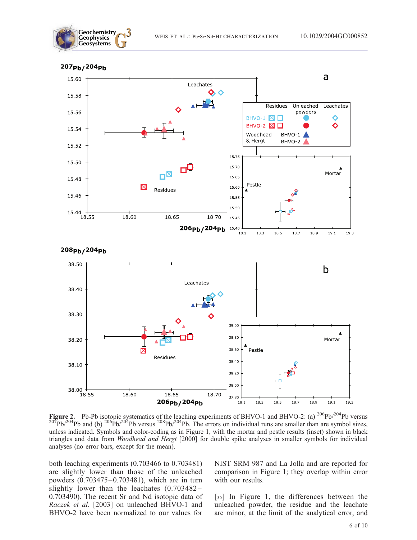





Figure 2. Pb-Pb isotopic systematics of the leaching experiments of BHVO-1 and BHVO-2: (a)  $^{206}Pb^{204}Pb$  versus  $^{207}Pb^{204}Pb$  and (b)  $^{206}Pb^{204}Pb$  versus  $^{208}Pb^{204}Pb$ . The errors on individual runs are smaller than are symbol sizes, unless indicated. Symbols and color-coding as in Figure 1, with the mortar and pestle results (inset) shown in black triangles and data from Woodhead and Hergt [2000] for double spike analyses in smaller symbols for individual analyses (no error bars, except for the mean).

both leaching experiments (0.703466 to 0.703481) are slightly lower than those of the unleached powders (0.703475–0.703481), which are in turn slightly lower than the leachates (0.703482– 0.703490). The recent Sr and Nd isotopic data of Raczek et al. [2003] on unleached BHVO-1 and BHVO-2 have been normalized to our values for

NIST SRM 987 and La Jolla and are reported for comparison in Figure 1; they overlap within error with our results.

[35] In Figure 1, the differences between the unleached powder, the residue and the leachate are minor, at the limit of the analytical error, and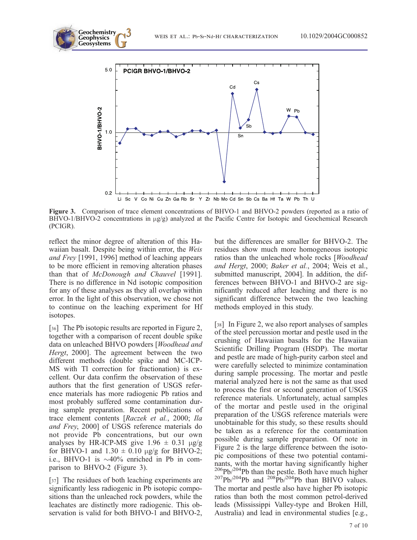

Figure 3. Comparison of trace element concentrations of BHVO-1 and BHVO-2 powders (reported as a ratio of BHVO-1/BHVO-2 concentrations in  $\mu$ g/g) analyzed at the Pacific Centre for Isotopic and Geochemical Research (PCIGR).

reflect the minor degree of alteration of this Hawaiian basalt. Despite being within error, the Weis and Frey [1991, 1996] method of leaching appears to be more efficient in removing alteration phases than that of McDonough and Chauvel [1991]. There is no difference in Nd isotopic composition for any of these analyses as they all overlap within error. In the light of this observation, we chose not to continue on the leaching experiment for Hf isotopes.

**Geochemistry** Geophysics<br>Geosystems

[36] The Pb isotopic results are reported in Figure 2, together with a comparison of recent double spike data on unleached BHVO powders [Woodhead and Hergt, 2000]. The agreement between the two different methods (double spike and MC-ICP-MS with Tl correction for fractionation) is excellent. Our data confirm the observation of these authors that the first generation of USGS reference materials has more radiogenic Pb ratios and most probably suffered some contamination during sample preparation. Recent publications of trace element contents [Raczek et al., 2000; Ila and Frey, 2000] of USGS reference materials do not provide Pb concentrations, but our own analyses by HR-ICP-MS give  $1.96 \pm 0.31$   $\mu$ g/g for BHVO-1 and  $1.30 \pm 0.10$  µg/g for BHVO-2; i.e., BHVO-1 is  $\sim$ 40% enriched in Pb in comparison to BHVO-2 (Figure 3).

[37] The residues of both leaching experiments are significantly less radiogenic in Pb isotopic compositions than the unleached rock powders, while the leachates are distinctly more radiogenic. This observation is valid for both BHVO-1 and BHVO-2, but the differences are smaller for BHVO-2. The residues show much more homogeneous isotopic ratios than the unleached whole rocks [Woodhead and Hergt, 2000; Baker et al., 2004; Weis et al., submitted manuscript, 2004]. In addition, the differences between BHVO-1 and BHVO-2 are significantly reduced after leaching and there is no significant difference between the two leaching methods employed in this study.

[38] In Figure 2, we also report analyses of samples of the steel percussion mortar and pestle used in the crushing of Hawaiian basalts for the Hawaiian Scientific Drilling Program (HSDP). The mortar and pestle are made of high-purity carbon steel and were carefully selected to minimize contamination during sample processing. The mortar and pestle material analyzed here is not the same as that used to process the first or second generation of USGS reference materials. Unfortunately, actual samples of the mortar and pestle used in the original preparation of the USGS reference materials were unobtainable for this study, so these results should be taken as a reference for the contamination possible during sample preparation. Of note in Figure 2 is the large difference between the isotopic compositions of these two potential contaminants, with the mortar having significantly higher <sup>206</sup>Pb/<sup>204</sup>Pb than the pestle. Both have much higher <sup>207</sup>Pb/<sup>204</sup>Pb and <sup>208</sup>Pb/<sup>204</sup>Pb than BHVO values. The mortar and pestle also have higher Pb isotopic ratios than both the most common petrol-derived leads (Mississippi Valley-type and Broken Hill, Australia) and lead in environmental studies [e.g.,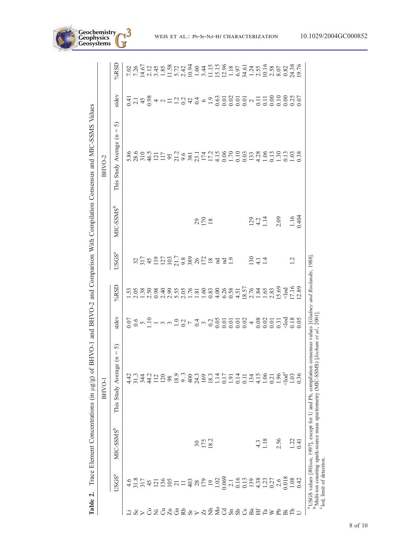| Table 2.              |                                                                                                                                                                                                                             |                       | Trace Element Concentrations (in $\mu$ g/g) of                                                                                                                  |                                                                                                                                                                                                                                                                                                                                              |                                                |                                           |                              | BHVO-1 and BHVO-2 and Comparison With Compilation Consensus and MIC-SSMS Values |       |                                                                                                                                                                                                                                                                                                                     |
|-----------------------|-----------------------------------------------------------------------------------------------------------------------------------------------------------------------------------------------------------------------------|-----------------------|-----------------------------------------------------------------------------------------------------------------------------------------------------------------|----------------------------------------------------------------------------------------------------------------------------------------------------------------------------------------------------------------------------------------------------------------------------------------------------------------------------------------------|------------------------------------------------|-------------------------------------------|------------------------------|---------------------------------------------------------------------------------|-------|---------------------------------------------------------------------------------------------------------------------------------------------------------------------------------------------------------------------------------------------------------------------------------------------------------------------|
|                       |                                                                                                                                                                                                                             |                       | BHVO-1                                                                                                                                                          |                                                                                                                                                                                                                                                                                                                                              |                                                |                                           |                              | BHVO-2                                                                          |       |                                                                                                                                                                                                                                                                                                                     |
|                       | USGS <sup>a</sup>                                                                                                                                                                                                           | MIC-SSMS <sup>b</sup> | ຕິ<br>Ш<br>$\Xi$<br>This Study Average                                                                                                                          | stdev                                                                                                                                                                                                                                                                                                                                        | %RSD                                           | USGS <sup>a</sup>                         | MIC-SSMS <sup>b</sup>        | ົ<br>Ш<br>This Study Average (n                                                 | stdev | %RSD                                                                                                                                                                                                                                                                                                                |
|                       |                                                                                                                                                                                                                             |                       |                                                                                                                                                                 |                                                                                                                                                                                                                                                                                                                                              |                                                |                                           |                              |                                                                                 |       |                                                                                                                                                                                                                                                                                                                     |
|                       |                                                                                                                                                                                                                             |                       |                                                                                                                                                                 |                                                                                                                                                                                                                                                                                                                                              |                                                |                                           |                              |                                                                                 |       |                                                                                                                                                                                                                                                                                                                     |
|                       |                                                                                                                                                                                                                             |                       |                                                                                                                                                                 |                                                                                                                                                                                                                                                                                                                                              |                                                |                                           |                              |                                                                                 |       |                                                                                                                                                                                                                                                                                                                     |
|                       |                                                                                                                                                                                                                             |                       |                                                                                                                                                                 |                                                                                                                                                                                                                                                                                                                                              |                                                |                                           |                              |                                                                                 |       |                                                                                                                                                                                                                                                                                                                     |
| $x > 3\overline{z}$   |                                                                                                                                                                                                                             |                       | $\frac{43}{31342}$ $\frac{341}{3412}$ $\frac{28}{38}$                                                                                                           |                                                                                                                                                                                                                                                                                                                                              |                                                |                                           |                              |                                                                                 |       |                                                                                                                                                                                                                                                                                                                     |
|                       |                                                                                                                                                                                                                             |                       |                                                                                                                                                                 |                                                                                                                                                                                                                                                                                                                                              |                                                |                                           |                              |                                                                                 |       |                                                                                                                                                                                                                                                                                                                     |
| ddaga>a£              |                                                                                                                                                                                                                             |                       |                                                                                                                                                                 |                                                                                                                                                                                                                                                                                                                                              |                                                |                                           |                              |                                                                                 |       |                                                                                                                                                                                                                                                                                                                     |
|                       |                                                                                                                                                                                                                             |                       |                                                                                                                                                                 |                                                                                                                                                                                                                                                                                                                                              |                                                |                                           |                              |                                                                                 |       |                                                                                                                                                                                                                                                                                                                     |
|                       |                                                                                                                                                                                                                             |                       |                                                                                                                                                                 |                                                                                                                                                                                                                                                                                                                                              |                                                |                                           |                              |                                                                                 |       |                                                                                                                                                                                                                                                                                                                     |
|                       |                                                                                                                                                                                                                             |                       |                                                                                                                                                                 |                                                                                                                                                                                                                                                                                                                                              |                                                |                                           |                              |                                                                                 |       |                                                                                                                                                                                                                                                                                                                     |
|                       |                                                                                                                                                                                                                             |                       |                                                                                                                                                                 |                                                                                                                                                                                                                                                                                                                                              |                                                |                                           |                              |                                                                                 |       |                                                                                                                                                                                                                                                                                                                     |
|                       |                                                                                                                                                                                                                             | $\frac{30}{15}$       |                                                                                                                                                                 |                                                                                                                                                                                                                                                                                                                                              |                                                |                                           | 2920                         |                                                                                 |       |                                                                                                                                                                                                                                                                                                                     |
|                       | $4.375$ $4.54$ $1.36$ $5.4$ $1.4$ $1.4$ $1.4$ $1.4$ $1.4$ $1.4$ $1.4$ $1.4$ $1.4$ $1.4$ $1.4$ $1.4$ $1.4$ $1.4$ $1.4$ $1.4$ $1.4$ $1.4$ $1.4$ $1.4$ $1.4$ $1.4$ $1.4$ $1.4$ $1.4$ $1.4$ $1.4$ $1.4$ $1.4$ $1.4$ $1.4$ $1.4$ |                       |                                                                                                                                                                 | $\begin{array}{l} 0.66 \\ 0.67 \\ 0.71 \\ 0.71 \\ -0.72 \\ 0.73 \\ -0.74 \\ -0.75 \\ -0.75 \\ -0.75 \\ -0.75 \\ -0.75 \\ -0.75 \\ -0.75 \\ -0.75 \\ -0.75 \\ -0.75 \\ -0.75 \\ -0.75 \\ -0.75 \\ -0.75 \\ -0.75 \\ -0.75 \\ -0.75 \\ -0.75 \\ -0.75 \\ -0.75 \\ -0.75 \\ -0.75 \\ -0.75 \\ -0.75 \\ -0.75 \\ -0.75 \\ -0.75 \\ -0.75 \\ -0.$ |                                                | 3.774922733888228727                      |                              |                                                                                 |       | $\frac{1}{2}$ $\frac{1}{2}$ $\frac{1}{2}$ $\frac{1}{2}$ $\frac{1}{2}$ $\frac{1}{2}$ $\frac{1}{2}$ $\frac{1}{2}$ $\frac{1}{2}$ $\frac{1}{2}$ $\frac{1}{2}$ $\frac{1}{2}$ $\frac{1}{2}$ $\frac{1}{2}$ $\frac{1}{2}$ $\frac{1}{2}$ $\frac{1}{2}$ $\frac{1}{2}$ $\frac{1}{2}$ $\frac{1}{2}$ $\frac{1}{2}$ $\frac{1}{2}$ |
|                       |                                                                                                                                                                                                                             |                       |                                                                                                                                                                 |                                                                                                                                                                                                                                                                                                                                              |                                                |                                           |                              |                                                                                 |       |                                                                                                                                                                                                                                                                                                                     |
|                       |                                                                                                                                                                                                                             |                       |                                                                                                                                                                 |                                                                                                                                                                                                                                                                                                                                              |                                                |                                           |                              |                                                                                 |       |                                                                                                                                                                                                                                                                                                                     |
|                       |                                                                                                                                                                                                                             |                       |                                                                                                                                                                 |                                                                                                                                                                                                                                                                                                                                              |                                                |                                           |                              |                                                                                 |       |                                                                                                                                                                                                                                                                                                                     |
|                       |                                                                                                                                                                                                                             |                       |                                                                                                                                                                 |                                                                                                                                                                                                                                                                                                                                              |                                                |                                           |                              |                                                                                 |       |                                                                                                                                                                                                                                                                                                                     |
| <b>SUBBUE</b>         |                                                                                                                                                                                                                             |                       |                                                                                                                                                                 |                                                                                                                                                                                                                                                                                                                                              |                                                |                                           |                              |                                                                                 |       |                                                                                                                                                                                                                                                                                                                     |
|                       |                                                                                                                                                                                                                             |                       |                                                                                                                                                                 |                                                                                                                                                                                                                                                                                                                                              |                                                | $\frac{5}{4}$ $\frac{1}{4}$ $\frac{4}{4}$ |                              |                                                                                 |       |                                                                                                                                                                                                                                                                                                                     |
| Ħ                     |                                                                                                                                                                                                                             | $\frac{4.3}{1.18}$    |                                                                                                                                                                 |                                                                                                                                                                                                                                                                                                                                              |                                                |                                           |                              |                                                                                 |       |                                                                                                                                                                                                                                                                                                                     |
| $\mathbb{F}^a$        |                                                                                                                                                                                                                             |                       |                                                                                                                                                                 |                                                                                                                                                                                                                                                                                                                                              |                                                |                                           | $\frac{23}{4}$ $\frac{4}{4}$ |                                                                                 |       |                                                                                                                                                                                                                                                                                                                     |
| ≽                     |                                                                                                                                                                                                                             |                       |                                                                                                                                                                 |                                                                                                                                                                                                                                                                                                                                              |                                                |                                           |                              |                                                                                 |       |                                                                                                                                                                                                                                                                                                                     |
| Pp                    | 2.6                                                                                                                                                                                                                         | 2.56                  |                                                                                                                                                                 |                                                                                                                                                                                                                                                                                                                                              |                                                |                                           | 2.09                         |                                                                                 |       |                                                                                                                                                                                                                                                                                                                     |
| $\ddot{a}$ $\ddot{c}$ | $\begin{array}{c} 0.018 \\ 1.08 \\ 0.42 \end{array}$                                                                                                                                                                        |                       | $\frac{8}{103}$                                                                                                                                                 |                                                                                                                                                                                                                                                                                                                                              |                                                |                                           |                              |                                                                                 |       |                                                                                                                                                                                                                                                                                                                     |
|                       |                                                                                                                                                                                                                             | 1.22                  |                                                                                                                                                                 |                                                                                                                                                                                                                                                                                                                                              |                                                | 1.2                                       | $1.16$<br>0.404              |                                                                                 |       |                                                                                                                                                                                                                                                                                                                     |
| $\cup$                |                                                                                                                                                                                                                             | 0.41                  |                                                                                                                                                                 |                                                                                                                                                                                                                                                                                                                                              |                                                |                                           |                              |                                                                                 |       |                                                                                                                                                                                                                                                                                                                     |
|                       | <sup>c</sup> lod, limit of detection                                                                                                                                                                                        |                       | Multi-ion counting spark-source mass spectrometry (MIC-SSMS) [Jochum et al., 2001]<br><sup>a</sup> USGS values [Wilson, 1997], except for U and Pb, compilation |                                                                                                                                                                                                                                                                                                                                              | consensus values [Gladney and Roelandts, 1988] |                                           |                              |                                                                                 |       |                                                                                                                                                                                                                                                                                                                     |

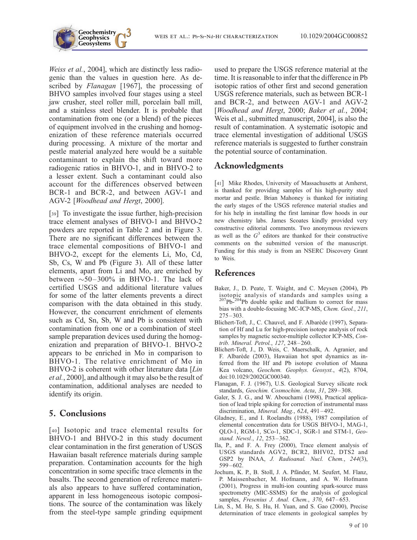

Weiss et al., 2004], which are distinctly less radiogenic than the values in question here. As described by *Flanagan* [1967], the processing of BHVO samples involved four stages using a steel jaw crusher, steel roller mill, porcelain ball mill, and a stainless steel blender. It is probable that contamination from one (or a blend) of the pieces of equipment involved in the crushing and homogenization of these reference materials occurred during processing. A mixture of the mortar and pestle material analyzed here would be a suitable contaminant to explain the shift toward more radiogenic ratios in BHVO-1, and in BHVO-2 to a lesser extent. Such a contaminant could also account for the differences observed between BCR-1 and BCR-2, and between AGV-1 and AGV-2 [Woodhead and Hergt, 2000].

[39] To investigate the issue further, high-precision trace element analyses of BHVO-1 and BHVO-2 powders are reported in Table 2 and in Figure 3. There are no significant differences between the trace elemental compositions of BHVO-1 and BHVO-2, except for the elements Li, Mo, Cd, Sb, Cs, W and Pb (Figure 3). All of these latter elements, apart from Li and Mo, are enriched by between  $\sim$  50–300% in BHVO-1. The lack of certified USGS and additional literature values for some of the latter elements prevents a direct comparison with the data obtained in this study. However, the concurrent enrichment of elements such as Cd, Sn, Sb, W and Pb is consistent with contamination from one or a combination of steel sample preparation devices used during the homogenization and preparation of BHVO-1. BHVO-2 appears to be enriched in Mo in comparison to BHVO-1. The relative enrichment of Mo in BHVO-2 is coherent with other literature data [Lin] et al., 2000], and although it may also be the result of contamination, additional analyses are needed to identify its origin.

# 5. Conclusions

[40] Isotopic and trace elemental results for BHVO-1 and BHVO-2 in this study document clear contamination in the first generation of USGS Hawaiian basalt reference materials during sample preparation. Contamination accounts for the high concentration in some specific trace elements in the basalts. The second generation of reference materials also appears to have suffered contamination, apparent in less homogeneous isotopic compositions. The source of the contamination was likely from the steel-type sample grinding equipment used to prepare the USGS reference material at the time. It is reasonable to infer that the difference in Pb isotopic ratios of other first and second generation USGS reference materials, such as between BCR-1 and BCR-2, and between AGV-1 and AGV-2 [Woodhead and Hergt, 2000; Baker et al., 2004; Weis et al., submitted manuscript, 2004], is also the result of contamination. A systematic isotopic and trace elemental investigation of additional USGS reference materials is suggested to further constrain the potential source of contamination.

# Acknowledgments

[41] Mike Rhodes, University of Massachusetts at Amherst, is thanked for providing samples of his high-purity steel mortar and pestle. Brian Mahoney is thanked for initiating the early stages of the USGS reference material studies and for his help in installing the first laminar flow hoods in our new chemistry labs. James Scoates kindly provided very constructive editorial comments. Two anonymous reviewers as well as the  $G<sup>3</sup>$  editors are thanked for their constructive comments on the submitted version of the manuscript. Funding for this study is from an NSERC Discovery Grant to Weis.

# References

- Baker, J., D. Peate, T. Waight, and C. Meysen (2004), Pb isotopic analysis of standards and samples using a  $207Pb^{-204}Pb$  double spike and thallium to correct for mass bias with a double-focusing MC-ICP-MS, Chem. Geol., 211, 275 – 303.
- Blichert-Toft, J., C. Chauvel, and F. Albarède (1997), Separation of Hf and Lu for high-precision isotope analysis of rock samples by magnetic sector-multiple collector ICP-MS, Contrib. Mineral. Petrol., 127, 248 – 260.
- Blichert-Toft, J., D. Weis, C. Maerschalk, A. Agranier, and F. Albarède (2003), Hawaiian hot spot dynamics as inferred from the Hf and Pb isotope evolution of Mauna Kea volcano, Geochem. Geophys. Geosyst., 4(2), 8704, doi:10.1029/2002GC000340.
- Flanagan, F. J. (1967), U.S. Geological Survey silicate rock standards, Geochim. Cosmochim. Acta, 31, 289-308.
- Galer, S. J. G., and W. Abouchami (1998), Practical application of lead triple spiking for correction of instrumental mass discrimination, Mineral. Mag., 62A, 491-492.
- Gladney, E., and I. Roelandts (1988), 1987 compilation of elemental concentration data for USGS BHVO-1, MAG-1, QLO-1, RGM-1, SCo-1, SDC-1, SGR-1 and STM-1, Geostand. Newsl., 12, 253 – 362.
- Ila, P., and F. A. Frey (2000), Trace element analysis of USGS standards AGV2, BCR2, BHV02, DTS2 and GSP2 by INAA, J. Radioanal. Nucl. Chem., 244(3), 599 – 602.
- Jochum, K. P., B. Stoll, J. A. Pfänder, M. Seufert, M. Flanz, P. Maissenbacher, M. Hofmann, and A. W. Hofmann (2001), Progress in multi-ion counting spark-source mass spectrometry (MIC-SSMS) for the analysis of geological samples, Fresenius J. Anal. Chem., 370, 647-653.
- Lin, S., M. He, S. Hu, H. Yuan, and S. Gao (2000), Precise determination of trace elements in geological samples by